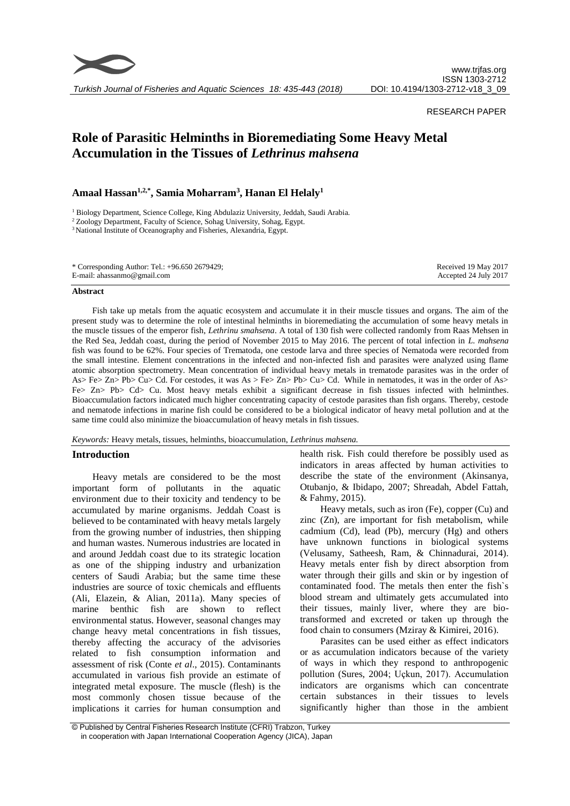

*Turkish Journal of Fisheries and Aquatic Sciences 18: 435-443 (2018)*

# RESEARCH PAPER

# **Role of Parasitic Helminths in Bioremediating Some Heavy Metal Accumulation in the Tissues of** *Lethrinus mahsena*

**Amaal Hassan1,2,\*, Samia Moharram<sup>3</sup> , Hanan El Helaly<sup>1</sup>**

<sup>1</sup> Biology Department, Science College, King Abdulaziz University, Jeddah, Saudi Arabia.

<sup>2</sup> Zoology Department, Faculty of Science, Sohag University, Sohag, Egypt.

<sup>3</sup> National Institute of Oceanography and Fisheries, Alexandria, Egypt.

#### **Abstract**

Fish take up metals from the aquatic ecosystem and accumulate it in their muscle tissues and organs. The aim of the present study was to determine the role of intestinal helminths in bioremediating the accumulation of some heavy metals in the muscle tissues of the emperor fish, *Lethrinu smahsena*. A total of 130 fish were collected randomly from Raas Mehsen in the Red Sea, Jeddah coast, during the period of November 2015 to May 2016. The percent of total infection in *L. mahsena* fish was found to be 62%. Four species of Trematoda, one cestode larva and three species of Nematoda were recorded from the small intestine. Element concentrations in the infected and non-infected fish and parasites were analyzed using flame atomic absorption spectrometry. Mean concentration of individual heavy metals in trematode parasites was in the order of As> Fe> Zn> Pb> Cu> Cd. For cestodes, it was As > Fe> Zn> Pb> Cu> Cd. While in nematodes, it was in the order of As> Fe> Zn> Pb> Cd> Cu. Most heavy metals exhibit a significant decrease in fish tissues infected with helminthes. Bioaccumulation factors indicated much higher concentrating capacity of cestode parasites than fish organs. Thereby, cestode and nematode infections in marine fish could be considered to be a biological indicator of heavy metal pollution and at the same time could also minimize the bioaccumulation of heavy metals in fish tissues.

*Keywords:* Heavy metals, tissues, helminths, bioaccumulation, *Lethrinus mahsena.*

## **Introduction**

Heavy metals are considered to be the most important form of pollutants in the aquatic environment due to their toxicity and tendency to be accumulated by marine organisms. Jeddah Coast is believed to be contaminated with heavy metals largely from the growing number of industries, then shipping and human wastes. Numerous industries are located in and around Jeddah coast due to its strategic location as one of the shipping industry and urbanization centers of Saudi Arabia; but the same time these industries are source of toxic chemicals and effluents (Ali, Elazein, & Alian, 2011a). Many species of marine benthic fish are shown to reflect environmental status. However, seasonal changes may change heavy metal concentrations in fish tissues, thereby affecting the accuracy of the advisories related to fish consumption information and assessment of risk (Conte *et al*., 2015). Contaminants accumulated in various fish provide an estimate of integrated metal exposure. The muscle (flesh) is the most commonly chosen tissue because of the implications it carries for human consumption and

health risk. Fish could therefore be possibly used as indicators in areas affected by human activities to describe the state of the environment (Akinsanya, Otubanjo, & Ibidapo, 2007; Shreadah, Abdel Fattah, & Fahmy, 2015).

Heavy metals, such as iron (Fe), copper (Cu) and zinc (Zn), are important for fish metabolism, while cadmium (Cd), lead (Pb), mercury (Hg) and others have unknown functions in biological systems (Velusamy, Satheesh, Ram, & Chinnadurai, 2014). Heavy metals enter fish by direct absorption from water through their gills and skin or by ingestion of contaminated food. The metals then enter the fish`s blood stream and ultimately gets accumulated into their tissues, mainly liver, where they are biotransformed and excreted or taken up through the food chain to consumers (Mziray & Kimirei, 2016).

Parasites can be used either as effect indicators or as accumulation indicators because of the variety of ways in which they respond to anthropogenic pollution (Sures, 2004; Uçkun, 2017). Accumulation indicators are organisms which can concentrate certain substances in their tissues to levels significantly higher than those in the ambient

<sup>©</sup> Published by Central Fisheries Research Institute (CFRI) Trabzon, Turkey in cooperation with Japan International Cooperation Agency (JICA), Japan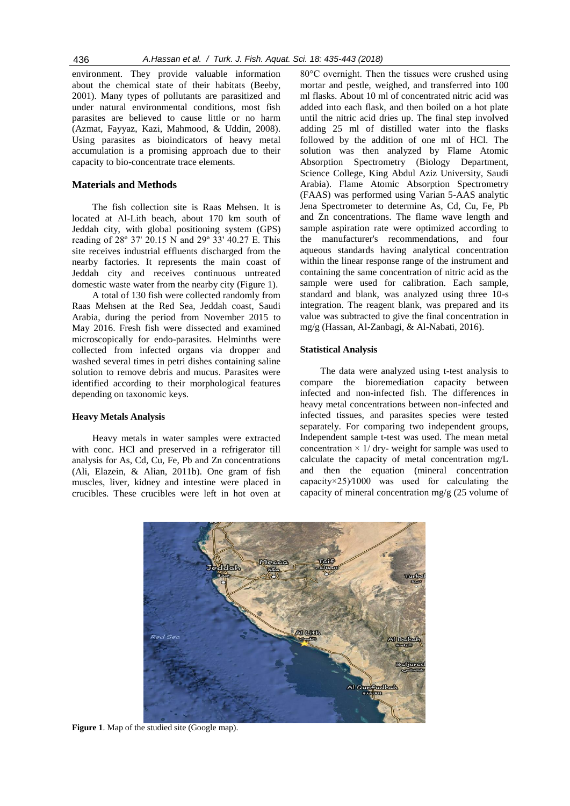environment. They provide valuable information about the chemical state of their habitats (Beeby, 2001). Many types of pollutants are parasitized and under natural environmental conditions, most fish parasites are believed to cause little or no harm (Azmat, Fayyaz, Kazi, Mahmood, & Uddin, 2008). Using parasites as bioindicators of heavy metal accumulation is a promising approach due to their capacity to bio-concentrate trace elements.

# **Materials and Methods**

The fish collection site is Raas Mehsen. It is located at Al-Lith beach, about 170 km south of Jeddah city, with global positioning system (GPS) reading of 28º 37' 20.15 N and 29º 33' 40.27 E. This site receives industrial effluents discharged from the nearby factories. It represents the main coast of Jeddah city and receives continuous untreated domestic waste water from the nearby city (Figure 1).

A total of 130 fish were collected randomly from Raas Mehsen at the Red Sea, Jeddah coast, Saudi Arabia, during the period from November 2015 to May 2016. Fresh fish were dissected and examined microscopically for endo-parasites. Helminths were collected from infected organs via dropper and washed several times in petri dishes containing saline solution to remove debris and mucus. Parasites were identified according to their morphological features depending on taxonomic keys.

#### **Heavy Metals Analysis**

Heavy metals in water samples were extracted with conc. HCl and preserved in a refrigerator till analysis for As, Cd, Cu, Fe, Pb and Zn concentrations (Ali, Elazein, & Alian, 2011b). One gram of fish muscles, liver, kidney and intestine were placed in crucibles. These crucibles were left in hot oven at 80°C overnight. Then the tissues were crushed using mortar and pestle, weighed, and transferred into 100 ml flasks. About 10 ml of concentrated nitric acid was added into each flask, and then boiled on a hot plate until the nitric acid dries up. The final step involved adding 25 ml of distilled water into the flasks followed by the addition of one ml of HCl. The solution was then analyzed by Flame Atomic Absorption Spectrometry (Biology Department, Science College, King Abdul Aziz University, Saudi Arabia). Flame Atomic Absorption Spectrometry (FAAS) was performed using Varian 5-AAS analytic Jena Spectrometer to determine As, Cd, Cu, Fe, Pb and Zn concentrations. The flame wave length and sample aspiration rate were optimized according to the manufacturer's recommendations, and four aqueous standards having analytical concentration within the linear response range of the instrument and containing the same concentration of nitric acid as the sample were used for calibration. Each sample, standard and blank, was analyzed using three 10-s integration. The reagent blank, was prepared and its value was subtracted to give the final concentration in mg/g (Hassan, Al-Zanbagi, & Al-Nabati, 2016).

### **Statistical Analysis**

The data were analyzed using t-test analysis to compare the bioremediation capacity between infected and non-infected fish. The differences in heavy metal concentrations between non-infected and infected tissues, and parasites species were tested separately. For comparing two independent groups, Independent sample t-test was used. The mean metal concentration  $\times$  1/ dry- weight for sample was used to calculate the capacity of metal concentration mg/L and then the equation (mineral concentration capacity $\times$ 25) $\frac{1000}{ }$  was used for calculating the capacity of mineral concentration mg/g (25 volume of



Figure 1. Map of the studied site (Google map).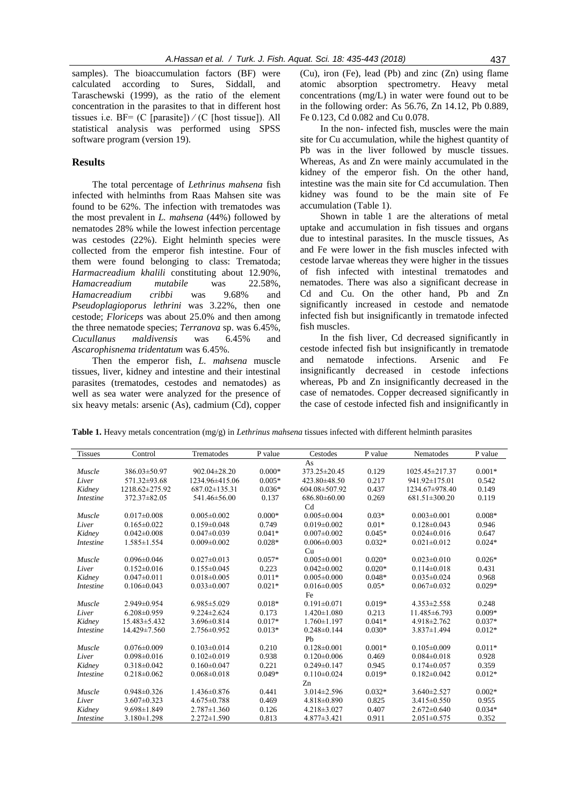samples). The bioaccumulation factors (BF) were calculated according to Sures, Siddall, and Taraschewski (1999), as the ratio of the element concentration in the parasites to that in different host tissues i.e.  $BF = (C \text{ [parasite]}) / (C \text{ [host tissue]})$ . All statistical analysis was performed using SPSS software program (version 19).

## **Results**

The total percentage of *Lethrinus mahsena* fish infected with helminths from Raas Mahsen site was found to be 62%. The infection with trematodes was the most prevalent in *L. mahsena* (44%) followed by nematodes 28% while the lowest infection percentage was cestodes (22%). Eight helminth species were collected from the emperor fish intestine. Four of them were found belonging to class: Trematoda; *Harmacreadium khalili* constituting about 12.90%, *Hamacreadium mutabile* was 22.58%, *Hamacreadium cribbi* was 9.68% and *Pseudoplagioporus lethrini* was 3.22%, then one cestode; *Floriceps* was about 25.0% and then among the three nematode species; *Terranova* sp. was 6.45%, *Cucullanus maldivensis* was 6.45% and *Ascarophisnema tridentatum* was 6.45%.

Then the emperor fish, *L. mahsena* muscle tissues, liver, kidney and intestine and their intestinal parasites (trematodes, cestodes and nematodes) as well as sea water were analyzed for the presence of six heavy metals: arsenic (As), cadmium (Cd), copper

(Cu), iron (Fe), lead (Pb) and zinc (Zn) using flame atomic absorption spectrometry. Heavy metal concentrations (mg/L) in water were found out to be in the following order: As 56.76, Zn 14.12, Pb 0.889, Fe 0.123, Cd 0.082 and Cu 0.078.

In the non- infected fish, muscles were the main site for Cu accumulation, while the highest quantity of Pb was in the liver followed by muscle tissues. Whereas, As and Zn were mainly accumulated in the kidney of the emperor fish. On the other hand, intestine was the main site for Cd accumulation. Then kidney was found to be the main site of Fe accumulation (Table 1).

Shown in table 1 are the alterations of metal uptake and accumulation in fish tissues and organs due to intestinal parasites. In the muscle tissues, As and Fe were lower in the fish muscles infected with cestode larvae whereas they were higher in the tissues of fish infected with intestinal trematodes and nematodes. There was also a significant decrease in Cd and Cu. On the other hand, Pb and Zn significantly increased in cestode and nematode infected fish but insignificantly in trematode infected fish muscles.

In the fish liver, Cd decreased significantly in cestode infected fish but insignificantly in trematode and nematode infections. Arsenic and Fe insignificantly decreased in cestode infections whereas, Pb and Zn insignificantly decreased in the case of nematodes. Copper decreased significantly in the case of cestode infected fish and insignificantly in

**Table 1.** Heavy metals concentration (mg/g) in *Lethrinus mahsena* tissues infected with different helminth parasites

| <b>Tissues</b>   | Control           | Trematodes         | P value  | Cestodes          | P value  | Nematodes         | P value  |  |
|------------------|-------------------|--------------------|----------|-------------------|----------|-------------------|----------|--|
| As               |                   |                    |          |                   |          |                   |          |  |
| Muscle           | 386.03±50.97      | $902.04 \pm 28.20$ | $0.000*$ | 373.25±20.45      | 0.129    | 1025.45±217.37    | $0.001*$ |  |
| Liver            | 571.32±93.68      | 1234.96±415.06     | $0.005*$ | 423.80±48.50      | 0.217    | 941.92±175.01     | 0.542    |  |
| Kidney           | 1218.62±275.92    | $687.02\pm135.31$  | $0.036*$ | 604.08±507.92     | 0.437    | 1234.67±978.40    | 0.149    |  |
| <i>Intestine</i> | 372.37±82.05      | 541.46±56.00       | 0.137    | $686.80\pm 60.00$ | 0.269    | 681.51±300.20     | 0.119    |  |
|                  |                   |                    |          | C <sub>d</sub>    |          |                   |          |  |
| Muscle           | $0.017 \pm 0.008$ | $0.005 \pm 0.002$  | $0.000*$ | $0.005 \pm 0.004$ | $0.03*$  | $0.003 \pm 0.001$ | $0.008*$ |  |
| Liver            | $0.165 \pm 0.022$ | $0.159 \pm 0.048$  | 0.749    | $0.019 \pm 0.002$ | $0.01*$  | $0.128 \pm 0.043$ | 0.946    |  |
| Kidney           | $0.042 \pm 0.008$ | $0.047 \pm 0.039$  | $0.041*$ | $0.007 \pm 0.002$ | $0.045*$ | $0.024 \pm 0.016$ | 0.647    |  |
| <i>Intestine</i> | $1.585 \pm 1.554$ | $0.009 \pm 0.002$  | $0.028*$ | $0.006 \pm 0.003$ | $0.032*$ | $0.021 \pm 0.012$ | $0.024*$ |  |
|                  |                   |                    |          | Cu                |          |                   |          |  |
| Muscle           | $0.096 \pm 0.046$ | $0.027 \pm 0.013$  | $0.057*$ | $0.005 \pm 0.001$ | $0.020*$ | $0.023 \pm 0.010$ | $0.026*$ |  |
| Liver            | $0.152 \pm 0.016$ | $0.155 \pm 0.045$  | 0.223    | $0.042 \pm 0.002$ | $0.020*$ | $0.114\pm0.018$   | 0.431    |  |
| Kidney           | $0.047 \pm 0.011$ | $0.018 \pm 0.005$  | $0.011*$ | $0.005 \pm 0.000$ | $0.048*$ | $0.035 \pm 0.024$ | 0.968    |  |
| <i>Intestine</i> | $0.106 \pm 0.043$ | $0.033 \pm 0.007$  | $0.021*$ | $0.016 \pm 0.005$ | $0.05*$  | $0.067 \pm 0.032$ | $0.029*$ |  |
|                  |                   |                    |          | Fe                |          |                   |          |  |
| Muscle           | 2.949±0.954       | $6.985 \pm 5.029$  | $0.018*$ | $0.191 \pm 0.071$ | $0.019*$ | $4.353 \pm 2.558$ | 0.248    |  |
| Liver            | $6.208 \pm 0.959$ | $9.224 \pm 2.624$  | 0.173    | $1.420 \pm 1.080$ | 0.213    | 11.485±6.793      | $0.009*$ |  |
| Kidney           | 15.483±5.432      | $3.696 \pm 0.814$  | $0.017*$ | $1.760 \pm 1.197$ | $0.041*$ | 4.918±2.762       | $0.037*$ |  |
| <b>Intestine</b> | 14.429±7.560      | $2.756 \pm 0.952$  | $0.013*$ | $0.248 \pm 0.144$ | $0.030*$ | 3.837±1.494       | $0.012*$ |  |
|                  |                   |                    |          | P <sub>b</sub>    |          |                   |          |  |
| Muscle           | $0.076 \pm 0.009$ | $0.103 \pm 0.014$  | 0.210    | $0.128 \pm 0.001$ | $0.001*$ | $0.105 \pm 0.009$ | $0.011*$ |  |
| Liver            | $0.098 \pm 0.016$ | $0.102 \pm 0.019$  | 0.938    | $0.120 \pm 0.006$ | 0.469    | $0.084 \pm 0.018$ | 0.928    |  |
| Kidney           | $0.318 \pm 0.042$ | $0.160 \pm 0.047$  | 0.221    | $0.249 \pm 0.147$ | 0.945    | $0.174 \pm 0.057$ | 0.359    |  |
| <i>Intestine</i> | $0.218 \pm 0.062$ | $0.068 \pm 0.018$  | $0.049*$ | $0.110 \pm 0.024$ | $0.019*$ | $0.182 \pm 0.042$ | $0.012*$ |  |
|                  |                   |                    |          | Zn                |          |                   |          |  |
| Muscle           | $0.948 \pm 0.326$ | $1.436 \pm 0.876$  | 0.441    | $3.014 \pm 2.596$ | $0.032*$ | $3.640 \pm 2.527$ | $0.002*$ |  |
| Liver            | $3.607 \pm 0.323$ | $4.675 \pm 0.788$  | 0.469    | $4.818 \pm 0.890$ | 0.825    | 3.415±0.550       | 0.955    |  |
| Kidney           | $9.698 \pm 1.849$ | $2.787 \pm 1.360$  | 0.126    | $4.218 \pm 3.027$ | 0.407    | $2.672 \pm 0.640$ | $0.034*$ |  |
| <i>Intestine</i> | $3.180 \pm 1.298$ | $2.272 \pm 1.590$  | 0.813    | $4.877 \pm 3.421$ | 0.911    | $2.051 \pm 0.575$ | 0.352    |  |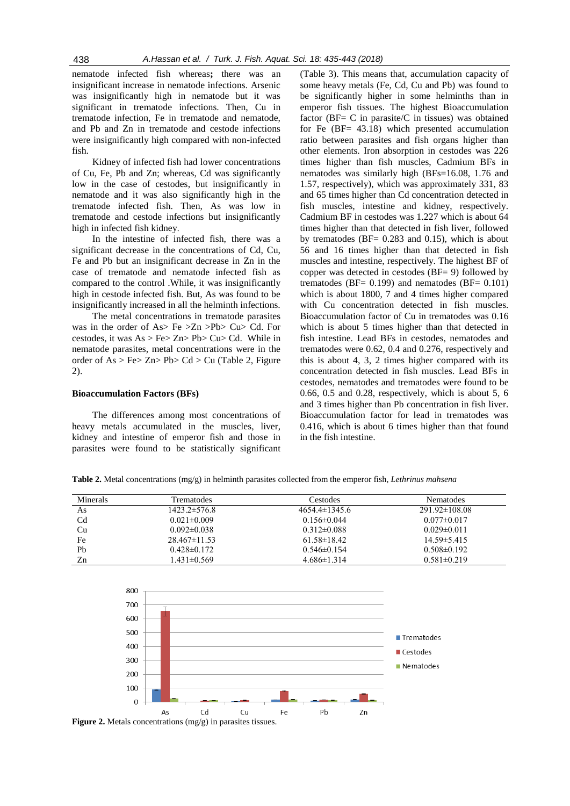nematode infected fish whereas**;** there was an insignificant increase in nematode infections. Arsenic was insignificantly high in nematode but it was significant in trematode infections. Then, Cu in trematode infection, Fe in trematode and nematode, and Pb and Zn in trematode and cestode infections were insignificantly high compared with non-infected fish.

Kidney of infected fish had lower concentrations of Cu, Fe, Pb and Zn; whereas, Cd was significantly low in the case of cestodes, but insignificantly in nematode and it was also significantly high in the trematode infected fish. Then, As was low in trematode and cestode infections but insignificantly high in infected fish kidney.

In the intestine of infected fish, there was a significant decrease in the concentrations of Cd, Cu, Fe and Pb but an insignificant decrease in Zn in the case of trematode and nematode infected fish as compared to the control .While, it was insignificantly high in cestode infected fish. But, As was found to be insignificantly increased in all the helminth infections.

The metal concentrations in trematode parasites was in the order of As> Fe >Zn >Pb> Cu> Cd. For cestodes, it was  $As > Fe > Zn > Pb > Cu > Cd$ . While in nematode parasites, metal concentrations were in the order of  $As > Fe > Zn > Pb > Cd > Cu$  (Table 2, Figure 2).

#### **Bioaccumulation Factors (BFs)**

The differences among most concentrations of heavy metals accumulated in the muscles, liver, kidney and intestine of emperor fish and those in parasites were found to be statistically significant

(Table 3). This means that, accumulation capacity of some heavy metals (Fe, Cd, Cu and Pb) was found to be significantly higher in some helminths than in emperor fish tissues. The highest Bioaccumulation factor ( $BF = C$  in parasite/ $C$  in tissues) was obtained for Fe (BF= 43.18) which presented accumulation ratio between parasites and fish organs higher than other elements. Iron absorption in cestodes was 226 times higher than fish muscles, Cadmium BFs in nematodes was similarly high (BFs=16.08, 1.76 and 1.57, respectively), which was approximately 331, 83 and 65 times higher than Cd concentration detected in fish muscles, intestine and kidney, respectively. Cadmium BF in cestodes was 1.227 which is about 64 times higher than that detected in fish liver, followed by trematodes ( $BF = 0.283$  and 0.15), which is about 56 and 16 times higher than that detected in fish muscles and intestine, respectively. The highest BF of copper was detected in cestodes (BF= 9) followed by trematodes (BF $= 0.199$ ) and nematodes (BF $= 0.101$ ) which is about 1800, 7 and 4 times higher compared with Cu concentration detected in fish muscles. Bioaccumulation factor of Cu in trematodes was 0.16 which is about 5 times higher than that detected in fish intestine. Lead BFs in cestodes, nematodes and trematodes were 0.62, 0.4 and 0.276, respectively and this is about 4, 3, 2 times higher compared with its concentration detected in fish muscles. Lead BFs in cestodes, nematodes and trematodes were found to be 0.66, 0.5 and 0.28, respectively, which is about 5, 6 and 3 times higher than Pb concentration in fish liver. Bioaccumulation factor for lead in trematodes was 0.416, which is about 6 times higher than that found in the fish intestine.

**Table 2.** Metal concentrations (mg/g) in helminth parasites collected from the emperor fish, *Lethrinus mahsena*

| Minerals       | <b>Trematodes</b>  | Cestodes           | Nematodes           |
|----------------|--------------------|--------------------|---------------------|
| As             | 1423.2±576.8       | $4654.4\pm 1345.6$ | $291.92 \pm 108.08$ |
| C <sub>d</sub> | $0.021 \pm 0.009$  | $0.156 \pm 0.044$  | $0.077 \pm 0.017$   |
| Cu             | $0.092 \pm 0.038$  | $0.312\pm0.088$    | $0.029 \pm 0.011$   |
| Fe             | $28.467 \pm 11.53$ | $61.58 \pm 18.42$  | $14.59 \pm 5.415$   |
| Pb             | $0.428 \pm 0.172$  | $0.546 \pm 0.154$  | $0.508\pm0.192$     |
| Zn             | 1.431±0.569        | $4.686\pm1.314$    | $0.581 \pm 0.219$   |



**Figure 2.** Metals concentrations (mg/g) in parasites tissues.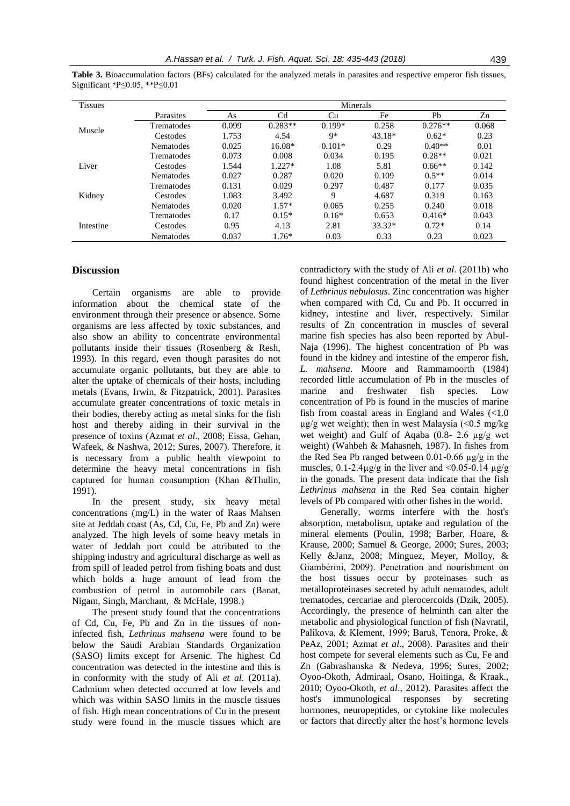| <b>Tissues</b> |                  | Minerals |                |          |        |           |       |  |
|----------------|------------------|----------|----------------|----------|--------|-----------|-------|--|
|                | Parasites        | As       | C <sub>d</sub> | Cu       | Fe     | Pb        | Zn    |  |
| Muscle         | Trematodes       | 0.099    | $0.283**$      | $0.199*$ | 0.258  | $0.276**$ | 0.068 |  |
|                | Cestodes         | 1.753    | 4.54           | 9*       | 43.18* | $0.62*$   | 0.23  |  |
|                | <b>Nematodes</b> | 0.025    | 16.08*         | $0.101*$ | 0.29   | $0.40**$  | 0.01  |  |
|                | Trematodes       | 0.073    | 0.008          | 0.034    | 0.195  | $0.28**$  | 0.021 |  |
| Liver          | Cestodes         | 1.544    | $1.227*$       | 1.08     | 5.81   | $0.66**$  | 0.142 |  |
|                | <b>Nematodes</b> | 0.027    | 0.287          | 0.020    | 0.109  | $0.5**$   | 0.014 |  |
|                | Trematodes       | 0.131    | 0.029          | 0.297    | 0.487  | 0.177     | 0.035 |  |
| Kidney         | Cestodes         | 1.083    | 3.492          | 9        | 4.687  | 0.319     | 0.163 |  |
|                | <b>Nematodes</b> | 0.020    | $1.57*$        | 0.065    | 0.255  | 0.240     | 0.018 |  |
|                | Trematodes       | 0.17     | $0.15*$        | $0.16*$  | 0.653  | $0.416*$  | 0.043 |  |
| Intestine      | Cestodes         | 0.95     | 4.13           | 2.81     | 33.32* | $0.72*$   | 0.14  |  |
|                | <b>Nematodes</b> | 0.037    | $1.76*$        | 0.03     | 0.33   | 0.23      | 0.023 |  |

**Table 3.** Bioaccumulation factors (BFs) calculated for the analyzed metals in parasites and respective emperor fish tissues, Significant \*P≤0.05, \*\*P≤0.01

# **Discussion**

Certain organisms are able to provide information about the chemical state of the environment through their presence or absence. Some organisms are less affected by toxic substances, and also show an ability to concentrate environmental pollutants inside their tissues (Rosenberg & Resh, 1993). In this regard, even though parasites do not accumulate organic pollutants, but they are able to alter the uptake of chemicals of their hosts, including metals (Evans, Irwin, & Fitzpatrick, 2001). Parasites accumulate greater concentrations of toxic metals in their bodies, thereby acting as metal sinks for the fish host and thereby aiding in their survival in the presence of toxins (Azmat *et al*., 2008; Eissa, Gehan, Wafeek, & Nashwa, 2012; Sures, 2007). Therefore, it is necessary from a public health viewpoint to determine the heavy metal concentrations in fish captured for human consumption (Khan &Thulin, 1991).

In the present study, six heavy metal concentrations (mg/L) in the water of Raas Mahsen site at Jeddah coast (As, Cd, Cu, Fe, Pb and Zn) were analyzed. The high levels of some heavy metals in water of Jeddah port could be attributed to the shipping industry and agricultural discharge as well as from spill of leaded petrol from fishing boats and dust which holds a huge amount of lead from the combustion of petrol in automobile cars (Banat, Nigam, Singh, Marchant, & McHale, 1998.)

The present study found that the concentrations of Cd, Cu, Fe, Pb and Zn in the tissues of noninfected fish, *Lethrinus mahsena* were found to be below the Saudi Arabian Standards Organization (SASO) limits except for Arsenic. The highest Cd concentration was detected in the intestine and this is in conformity with the study of Ali *et al*. (2011a). Cadmium when detected occurred at low levels and which was within SASO limits in the muscle tissues of fish. High mean concentrations of Cu in the present study were found in the muscle tissues which are

contradictory with the study of Ali *et al*. (2011b) who found highest concentration of the metal in the liver of *Lethrinus nebulosus*. Zinc concentration was higher when compared with Cd, Cu and Pb. It occurred in kidney, intestine and liver, respectively. Similar results of Zn concentration in muscles of several marine fish species has also been reported by Abul-Naja (1996). The highest concentration of Pb was found in the kidney and intestine of the emperor fish, *L. mahsena*. Moore and Rammamoorth (1984) recorded little accumulation of Pb in the muscles of marine and freshwater fish species. Low concentration of Pb is found in the muscles of marine fish from coastal areas in England and Wales  $\ll 1.0$  $\mu$ g/g wet weight); then in west Malaysia (<0.5 mg/kg wet weight) and Gulf of Aqaba (0.8- 2.6 µg/g wet weight) (Wahbeh & Mahasneh, 1987). In fishes from the Red Sea Pb ranged between  $0.01$ - $0.66$  ug/g in the muscles,  $0.1$ -2.4 $\mu$ g/g in the liver and <0.05-0.14  $\mu$ g/g in the gonads. The present data indicate that the fish *Lethrinus mahsena* in the Red Sea contain higher levels of Pb compared with other fishes in the world.

Generally, worms interfere with the host's absorption, metabolism, uptake and regulation of the mineral elements (Poulin, 1998; Barber, Hoare, & Krause, 2000; Samuel & George, 2000; Sures, 2003; Kelly &Janz, 2008; Minguez, Meyer, Molloy, & Giambérini, 2009). Penetration and nourishment on the host tissues occur by proteinases such as metalloproteinases secreted by adult nematodes, adult trematodes, cercariae and plerocercoids (Dzik, 2005). Accordingly, the presence of helminth can alter the metabolic and physiological function of fish (Navratil, Palikova, & Klement, 1999; Baruš, Tenora, Proke, & PeAz, 2001; Azmat *et al*., 2008). Parasites and their host compete for several elements such as Cu, Fe and Zn (Gabrashanska & Nedeva, 1996; Sures, 2002; Oyoo-Okoth, Admiraal, Osano, Hoitinga, & Kraak., 2010; Oyoo-Okoth, *et al*., 2012). Parasites affect the host's immunological responses by secreting hormones, neuropeptides, or cytokine like molecules or factors that directly alter the host's hormone levels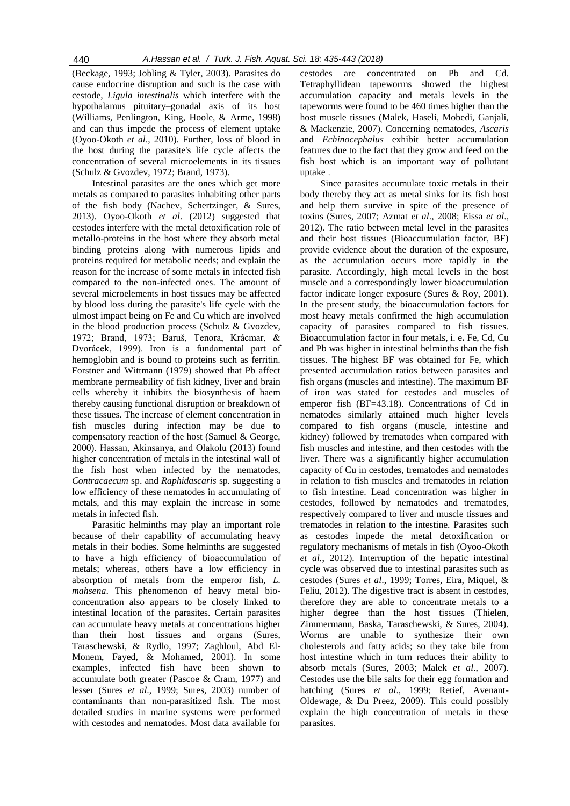(Beckage, 1993; Jobling & Tyler, 2003). Parasites do cause endocrine disruption and such is the case with cestode, *Ligula intestinalis* which interfere with the hypothalamus pituitary–gonadal axis of its host (Williams, Penlington, King, Hoole, & Arme, 1998) and can thus impede the process of element uptake (Oyoo-Okoth *et al*., 2010). Further, loss of blood in the host during the parasite's life cycle affects the concentration of several microelements in its tissues (Schulz & Gvozdev, 1972; Brand, 1973).

Intestinal parasites are the ones which get more metals as compared to parasites inhabiting other parts of the fish body (Nachev, Schertzinger, & Sures, 2013). Oyoo-Okoth *et al*. (2012) suggested that cestodes interfere with the metal detoxification role of metallo-proteins in the host where they absorb metal binding proteins along with numerous lipids and proteins required for metabolic needs; and explain the reason for the increase of some metals in infected fish compared to the non-infected ones. The amount of several microelements in host tissues may be affected by blood loss during the parasite's life cycle with the ulmost impact being on Fe and Cu which are involved in the blood production process (Schulz & Gvozdev, 1972; Brand, 1973; Baruš, Tenora, Krácmar, & Dvorácek, 1999). Iron is a fundamental part of hemoglobin and is bound to proteins such as ferritin. Forstner and Wittmann (1979) showed that Pb affect membrane permeability of fish kidney, liver and brain cells whereby it inhibits the biosynthesis of haem thereby causing functional disruption or breakdown of these tissues. The increase of element concentration in fish muscles during infection may be due to compensatory reaction of the host (Samuel & George, 2000). Hassan, Akinsanya, and Olakolu (2013) found higher concentration of metals in the intestinal wall of the fish host when infected by the nematodes, *Contracaecum* sp. and *Raphidascaris* sp. suggesting a low efficiency of these nematodes in accumulating of metals, and this may explain the increase in some metals in infected fish.

Parasitic helminths may play an important role because of their capability of accumulating heavy metals in their bodies. Some helminths are suggested to have a high efficiency of bioaccumulation of metals; whereas, others have a low efficiency in absorption of metals from the emperor fish, *L. mahsena*. This phenomenon of heavy metal bioconcentration also appears to be closely linked to intestinal location of the parasites. Certain parasites can accumulate heavy metals at concentrations higher than their host tissues and organs (Sures, Taraschewski, & Rydlo, 1997; Zaghloul, Abd El-Monem, Fayed, & Mohamed, 2001). In some examples, infected fish have been shown to accumulate both greater (Pascoe & Cram, 1977) and lesser (Sures *et al*., 1999; Sures, 2003) number of contaminants than non-parasitized fish. The most detailed studies in marine systems were performed with cestodes and nematodes. Most data available for

cestodes are concentrated on Pb and Cd. Tetraphyllidean tapeworms showed the highest accumulation capacity and metals levels in the tapeworms were found to be 460 times higher than the host muscle tissues (Malek, Haseli, Mobedi, Ganjali, & Mackenzie, 2007). Concerning nematodes, *Ascaris* and *Echinocephalus* exhibit better accumulation features due to the fact that they grow and feed on the fish host which is an important way of pollutant uptake .

Since parasites accumulate toxic metals in their body thereby they act as metal sinks for its fish host and help them survive in spite of the presence of toxins (Sures, 2007; Azmat *et al*., 2008; Eissa *et al*., 2012). The ratio between metal level in the parasites and their host tissues (Bioaccumulation factor, BF) provide evidence about the duration of the exposure, as the accumulation occurs more rapidly in the parasite. Accordingly, high metal levels in the host muscle and a correspondingly lower bioaccumulation factor indicate longer exposure (Sures & Roy, 2001). In the present study, the bioaccumulation factors for most heavy metals confirmed the high accumulation capacity of parasites compared to fish tissues. Bioaccumulation factor in four metals, i. e**.** Fe, Cd, Cu and Pb was higher in intestinal helminths than the fish tissues. The highest BF was obtained for Fe, which presented accumulation ratios between parasites and fish organs (muscles and intestine). The maximum BF of iron was stated for cestodes and muscles of emperor fish (BF=43.18). Concentrations of Cd in nematodes similarly attained much higher levels compared to fish organs (muscle, intestine and kidney) followed by trematodes when compared with fish muscles and intestine, and then cestodes with the liver. There was a significantly higher accumulation capacity of Cu in cestodes, trematodes and nematodes in relation to fish muscles and trematodes in relation to fish intestine. Lead concentration was higher in cestodes, followed by nematodes and trematodes, respectively compared to liver and muscle tissues and trematodes in relation to the intestine. Parasites such as cestodes impede the metal detoxification or regulatory mechanisms of metals in fish (Oyoo-Okoth *et al.*, 2012). Interruption of the hepatic intestinal cycle was observed due to intestinal parasites such as cestodes (Sures *et al*., 1999; Torres, Eira, Miquel, & Feliu, 2012). The digestive tract is absent in cestodes, therefore they are able to concentrate metals to a higher degree than the host tissues (Thielen, Zimmermann, Baska, Taraschewski, & Sures, 2004). Worms are unable to synthesize their own cholesterols and fatty acids; so they take bile from host intestine which in turn reduces their ability to absorb metals (Sures, 2003; Malek *et al*., 2007). Cestodes use the bile salts for their egg formation and hatching (Sures *et al*., 1999; Retief, Avenant-Oldewage, & Du Preez, 2009). This could possibly explain the high concentration of metals in these parasites.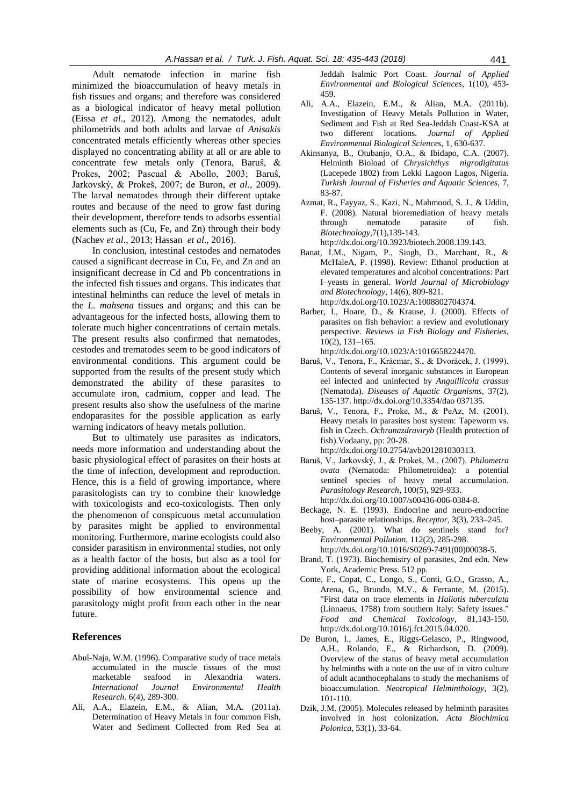Adult nematode infection in marine fish minimized the bioaccumulation of heavy metals in fish tissues and organs; and therefore was considered as a biological indicator of heavy metal pollution (Eissa *et al*., 2012). Among the nematodes, adult philometrids and both adults and larvae of *Anisakis* concentrated metals efficiently whereas other species displayed no concentrating ability at all or are able to concentrate few metals only (Tenora, Baruŝ, & Prokes, 2002; Pascual & Abollo, 2003; Baruŝ, Jarkovský, & Prokeš, 2007; de Buron, *et al*., 2009). The larval nematodes through their different uptake routes and because of the need to grow fast during their development, therefore tends to adsorbs essential elements such as (Cu, Fe, and Zn) through their body (Nachev *et al*., 2013; Hassan *et al*., 2016).

In conclusion, intestinal cestodes and nematodes caused a significant decrease in Cu, Fe, and Zn and an insignificant decrease in Cd and Pb concentrations in the infected fish tissues and organs. This indicates that intestinal helminths can reduce the level of metals in the *L. mahsena* tissues and organs; and this can be advantageous for the infected hosts, allowing them to tolerate much higher concentrations of certain metals. The present results also confirmed that nematodes, cestodes and trematodes seem to be good indicators of environmental conditions. This argument could be supported from the results of the present study which demonstrated the ability of these parasites to accumulate iron, cadmium, copper and lead. The present results also show the usefulness of the marine endoparasites for the possible application as early warning indicators of heavy metals pollution.

But to ultimately use parasites as indicators, needs more information and understanding about the basic physiological effect of parasites on their hosts at the time of infection, development and reproduction. Hence, this is a field of growing importance, where parasitologists can try to combine their knowledge with toxicologists and eco-toxicologists. Then only the phenomenon of conspicuous metal accumulation by parasites might be applied to environmental monitoring. Furthermore, marine ecologists could also consider parasitism in environmental studies, not only as a health factor of the hosts, but also as a tool for providing additional information about the ecological state of marine ecosystems. This opens up the possibility of how environmental science and parasitology might profit from each other in the near future.

## **References**

- Abul-Naja, W.M. (1996). Comparative study of trace metals accumulated in the muscle tissues of the most marketable seafood in Alexandria waters. *International Journal Environmental Health Research*. 6(4), 289-300.
- Ali, A.A., Elazein, E.M., & Alian, M.A. (2011a). Determination of Heavy Metals in four common Fish, Water and Sediment Collected from Red Sea at

Jeddah Isalmic Port Coast. *Journal of Applied Environmental and Biological Sciences*, 1(10), 453- 459.

- Ali, A.A., Elazein, E.M., & Alian, M.A. (2011b). Investigation of Heavy Metals Pollution in Water, Sediment and Fish at Red Sea-Jeddah Coast-KSA at two different locations*. Journal of Applied Environmental Biological Sciences*, 1, 630-637.
- Akinsanya, B., Otubanjo, O.A., & Ibidapo, C.A. (2007). Helminth Bioload of *Chrysichthys nigrodigitatus* (Lacepede 1802) from Lekki Lagoon Lagos, Nigeria. *Turkish Journal of Fisheries and Aquatic Sciences,* 7, 83-87.
- Azmat, R., Fayyaz, S., Kazi, N., Mahmood, S. J., & Uddin, F. (2008). Natural bioremediation of heavy metals through nematode parasite of fish. *Biotechnology*,7(1),139-143.
	- http://dx.doi.org/10.3923/biotech.2008.139.143.
- Banat, I.M., Nigam, P., Singh, D., Marchant, R., & McHaleA, P. (1998). Review: Ethanol production at elevated temperatures and alcohol concentrations: Part I–yeasts in general. *World Journal of Microbiology and Biotechnology*, 14(6), 809-821. http://dx.doi.org/10.1023/A:1008802704374.
- Barber, I., Hoare, D., & Krause, J. (2000). Effects of parasites on fish behavior: a review and evolutionary perspective. *Reviews in Fish Biology and Fisheries*, 10(2), 131–165.
- http://dx.doi.org/10.1023/A:1016658224470. Baruš, V., Tenora, F., Krácmar, S., & Dvorácek, J. (1999). Contents of several inorganic substances in European eel infected and uninfected by *Anguillicola crassus* (Nematoda). *Diseases of Aquatic Organisms*, 37(2), 135-137. http://dx.doi.org/10.3354/dao 037135.
- Baruš, V., Tenora, F., Proke, M., & PeAz, M. (2001). Heavy metals in parasites host system: Tapeworm vs. fish in Czech. *Ochranazdraviryb* (Health protection of fish).Vodaany, pp: 20-28. http://dx.doi.org/10.2754/avb201281030313.
- Baruš, V., Jarkovský, J., & Prokeš, M., (2007). *Philometra ovata* (Nematoda: Philometroidea): a potential sentinel species of heavy metal accumulation. *Parasitology Research*, 100(5), 929-933. http://dx.doi.org/10.1007/s00436-006-0384-8.
- Beckage, N. E. (1993). Endocrine and neuro-endocrine host–parasite relationships. *Receptor*, 3(3), 233–245.
- Beeby, A. (2001). What do sentinels stand for? *Environmental Pollution*, 112(2), 285-298. http://dx.doi.org/10.1016/S0269-7491(00)00038-5.
- Brand, T. (1973). Biochemistry of parasites, 2nd edn. New York, Academic Press. 512 pp.
- Conte, F., Copat, C., Longo, S., Conti, G.O., Grasso, A., Arena, G., Brundo, M.V., & Ferrante, M. (2015). "First data on trace elements in *Haliotis tuberculata* (Linnaeus, 1758) from southern Italy: Safety issues." *Food and Chemical Toxicology*, 81,143-150. http://dx.doi.org/10.1016/j.fct.2015.04.020.
- De Buron, I., James, E., Riggs-Gelasco, P., Ringwood, A.H., Rolando, E., & Richardson, D. (2009). Overview of the status of heavy metal accumulation by helminths with a note on the use of in vitro culture of adult acanthocephalans to study the mechanisms of bioaccumulation. *Neotropical Helminthology*, 3(2), 101-110.
- Dzik, J.M. (2005). Molecules released by helminth parasites involved in host colonization. *Acta Biochimica Polonica*, 53(1), 33-64.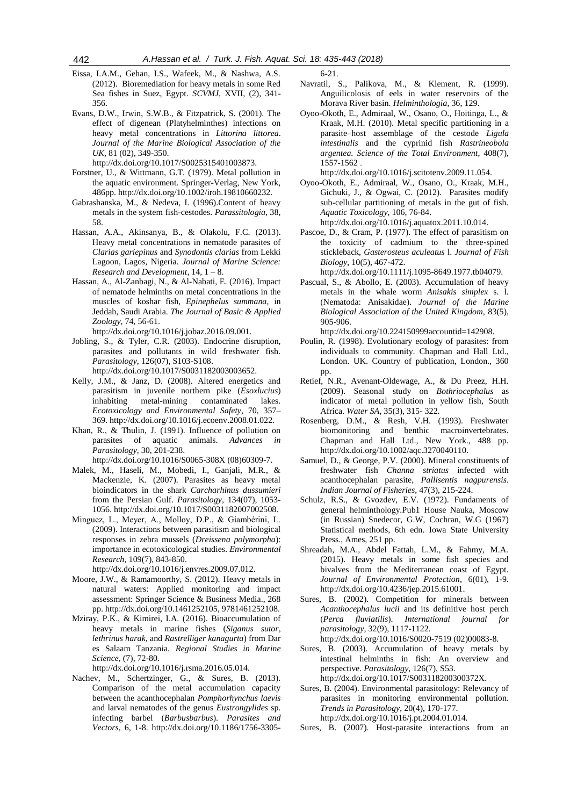- Eissa, I.A.M., Gehan, I.S., Wafeek, M., & Nashwa, A.S. (2012). Bioremediation for heavy metals in some Red Sea fishes in Suez, Egypt. *SCVMJ*, XVII, (2), 341- 356.
- Evans, D.W., Irwin, S.W.B., & Fitzpatrick, S. (2001). The effect of digenean (Platyhelminthes) infections on heavy metal concentrations in *Littorina littorea*. *Journal of the Marine Biological Association of the UK*, 81 (02), 349-350.

http://dx.doi.org/10.1017/S0025315401003873.

- Forstner, U., & Wittmann, G.T. (1979). Metal pollution in the aquatic environment. Springer-Verlag, New York, 486pp. http://dx.doi.org/10.1002/iroh.19810660232.
- Gabrashanska, M., & Nedeva, I. (1996).Content of heavy metals in the system fish-cestodes. *Parassitologia*, 38, 58.
- Hassan, A.A., Akinsanya, B., & Olakolu, F.C. (2013). Heavy metal concentrations in nematode parasites of *Clarias gariepinus* and *Synodontis clarias* from Lekki Lagoon, Lagos, Nigeria. *Journal of Marine Science: Research and Development*, 14, 1 – 8.
- Hassan, A., Al-Zanbagi, N., & Al-Nabati, E. (2016). Impact of nematode helminths on metal concentrations in the muscles of koshar fish*, Epinephelus summana*, in Jeddah, Saudi Arabia. *The Journal of Basic & Applied Zoology*, 74, 56-61.
- http://dx.doi.org/10.1016/j.jobaz.2016.09.001. Jobling, S., & Tyler, C.R. (2003). Endocrine disruption, parasites and pollutants in wild freshwater fish.

*Parasitology*, 126(07), S103-S108. http://dx.doi.org/10.1017/S0031182003003652.

- Kelly, J.M., & Janz, D. (2008). Altered energetics and parasitism in juvenile northern pike (*Esoxlucius*) inhabiting metal-mining contaminated lakes*. Ecotoxicology and Environmental Safety*, 70, 357– 369. http://dx.doi.org/10.1016/j.ecoenv.2008.01.022.
- Khan, R., & Thulin, J. (1991). Influence of pollution on parasites of aquatic animals. *Advances in Parasitology*, 30, 201-238.

http://dx.doi.org/10.1016/S0065-308X (08)60309-7.

- Malek, M., Haseli, M., Mobedi, I., Ganjali, M.R., & Mackenzie, K. (2007). Parasites as heavy metal bioindicators in the shark *Carcharhinus dussumieri* from the Persian Gulf. *Parasitology*, 134(07), 1053- 1056. http://dx.doi.org/10.1017/S0031182007002508.
- Minguez, L., Meyer, A., Molloy, D.P., & Giambérini, L. (2009). Interactions between parasitism and biological responses in zebra mussels (*Dreissena polymorpha*): importance in ecotoxicological studies. *Environmental Research*, 109(7), 843-850.

http://dx.doi.org/10.1016/j.envres.2009.07.012.

- Moore, J.W., & Ramamoorthy, S. (2012). Heavy metals in natural waters: Applied monitoring and impact assessment: Springer Science & Business Media., 268 pp. http://dx.doi.org/10.1461252105, 9781461252108.
- Mziray, P.K., & Kimirei, I.A. (2016). Bioaccumulation of heavy metals in marine fishes (*Siganus sutor*, *lethrinus harak*, and *Rastrelliger kanagurta*) from Dar es Salaam Tanzania. *Regional Studies in Marine Science*, (7), 72-80.

http://dx.doi.org/10.1016/j.rsma.2016.05.014.

Nachev, M., Schertzinger, G., & Sures, B. (2013). Comparison of the metal accumulation capacity between the acanthocephalan *Pomphorhynchus laevis* and larval nematodes of the genus *Eustrongylides* sp. infecting barbel (*Barbusbarbus*). *Parasites and Vectors*, 6, 1-8. http://dx.doi.org/10.1186/1756-33056-21.

- Navratil, S., Palikova, M., & Klement, R. (1999). Anguilicolosis of eels in water reservoirs of the Morava River basin. *Helminthologia*, 36, 129.
- Oyoo-Okoth, E., Admiraal, W., Osano, O., Hoitinga, L., & Kraak, M.H. (2010). Metal specific partitioning in a parasite–host assemblage of the cestode *Ligula intestinalis* and the cyprinid fish *Rastrineobola argentea*. *Science of the Total Environment*, 408(7), 1557-1562 .

http://dx.doi.org/10.1016/j.scitotenv.2009.11.054.

Oyoo-Okoth, E., Admiraal, W., Osano, O., Kraak, M.H., Gichuki, J., & Ogwai, C. (2012). Parasites modify sub-cellular partitioning of metals in the gut of fish. *Aquatic Toxicology*, 106, 76-84.

http://dx.doi.org/10.1016/j.aquatox.2011.10.014.

Pascoe, D., & Cram, P. (1977). The effect of parasitism on the toxicity of cadmium to the three‐spined stickleback, *Gasterosteus aculeatus* l. *Journal of Fish Biology*, 10(5), 467-472.

http://dx.doi.org/10.1111/j.1095-8649.1977.tb04079.

Pascual, S., & Abollo, E. (2003). Accumulation of heavy metals in the whale worm *Anisakis simplex* s. l. (Nematoda: Anisakidae). *Journal of the Marine Biological Association of the United Kingdom,* 83(5), 905-906.

http://dx.doi.org/10.224150999accountid=142908.

- Poulin, R. (1998). Evolutionary ecology of parasites: from individuals to community. Chapman and Hall Ltd., London. UK. Country of publication, London., 360 pp.
- Retief, N.R., Avenant-Oldewage, A., & Du Preez, H.H. (2009). Seasonal study on *Bothriocephalus* as indicator of metal pollution in yellow fish, South Africa. *Water SA*, 35(3), 315- 322.
- Rosenberg, D.M., & Resh, V.H. (1993). Freshwater biomonitoring and benthic macroinvertebrates. Chapman and Hall Ltd., New York., 488 pp. http://dx.doi.org/10.1002/aqc.3270040110.
- Samuel, D., & George, P.V. (2000). Mineral constituents of freshwater fish *Channa striatus* infected with acanthocephalan parasite, *Pallisentis nagpurensis*. *Indian Journal of Fisheries*, 47(3), 215-224.
- Schulz, R.S., & Gvozdev, E.V. (1972). Fundaments of general helminthology.Pub1 House Nauka, Moscow (in Russian) Snedecor, G.W, Cochran, W.G (1967) Statistical methods, 6th edn. Iowa State University Press., Ames, 251 pp.
- Shreadah, M.A., Abdel Fattah, L.M., & Fahmy, M.A. (2015). Heavy metals in some fish species and bivalves from the Mediterranean coast of Egypt. *Journal of Environmental Protection*, 6(01), 1-9. http://dx.doi.org/10.4236/jep.2015.61001.
- Sures, B. (2002). Competition for minerals between *Acanthocephalus lucii* and its definitive host perch (*Perca fluviatilis*). *International journal for parasitology*, 32(9), 1117-1122.

http://dx.doi.org/10.1016/S0020-7519 (02)00083-8. Sures, B. (2003). Accumulation of heavy metals by intestinal helminths in fish: An overview and perspective. *Parasitology*, 126(7), S53. http://dx.doi.org/10.1017/S003118200300372X.

Sures, B. (2004). Environmental parasitology: Relevancy of parasites in monitoring environmental pollution. *Trends in Parasitology*, 20(4), 170-177. http://dx.doi.org/10.1016/j.pt.2004.01.014.

Sures, B. (2007). Host-parasite interactions from an